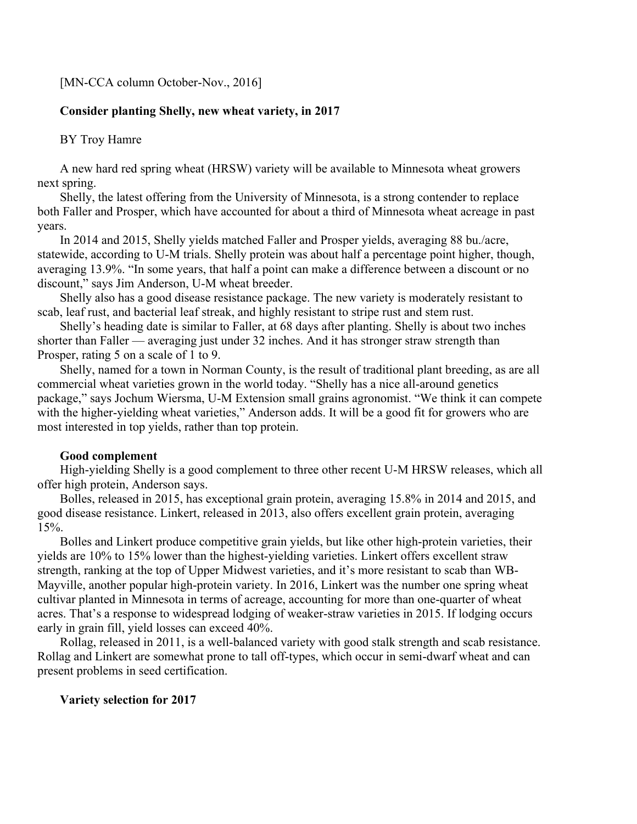## [MN-CCA column October-Nov., 2016]

# **Consider planting Shelly, new wheat variety, in 2017**

## BY Troy Hamre

A new hard red spring wheat (HRSW) variety will be available to Minnesota wheat growers next spring.

Shelly, the latest offering from the University of Minnesota, is a strong contender to replace both Faller and Prosper, which have accounted for about a third of Minnesota wheat acreage in past years.

In 2014 and 2015, Shelly yields matched Faller and Prosper yields, averaging 88 bu./acre, statewide, according to U-M trials. Shelly protein was about half a percentage point higher, though, averaging 13.9%. "In some years, that half a point can make a difference between a discount or no discount," says Jim Anderson, U-M wheat breeder.

Shelly also has a good disease resistance package. The new variety is moderately resistant to scab, leaf rust, and bacterial leaf streak, and highly resistant to stripe rust and stem rust.

Shelly's heading date is similar to Faller, at 68 days after planting. Shelly is about two inches shorter than Faller — averaging just under 32 inches. And it has stronger straw strength than Prosper, rating 5 on a scale of 1 to 9.

Shelly, named for a town in Norman County, is the result of traditional plant breeding, as are all commercial wheat varieties grown in the world today. "Shelly has a nice all-around genetics package," says Jochum Wiersma, U-M Extension small grains agronomist. "We think it can compete with the higher-yielding wheat varieties," Anderson adds. It will be a good fit for growers who are most interested in top yields, rather than top protein.

#### **Good complement**

High-yielding Shelly is a good complement to three other recent U-M HRSW releases, which all offer high protein, Anderson says.

Bolles, released in 2015, has exceptional grain protein, averaging 15.8% in 2014 and 2015, and good disease resistance. Linkert, released in 2013, also offers excellent grain protein, averaging 15%.

Bolles and Linkert produce competitive grain yields, but like other high-protein varieties, their yields are 10% to 15% lower than the highest-yielding varieties. Linkert offers excellent straw strength, ranking at the top of Upper Midwest varieties, and it's more resistant to scab than WB-Mayville, another popular high-protein variety. In 2016, Linkert was the number one spring wheat cultivar planted in Minnesota in terms of acreage, accounting for more than one-quarter of wheat acres. That's a response to widespread lodging of weaker-straw varieties in 2015. If lodging occurs early in grain fill, yield losses can exceed 40%.

Rollag, released in 2011, is a well-balanced variety with good stalk strength and scab resistance. Rollag and Linkert are somewhat prone to tall off-types, which occur in semi-dwarf wheat and can present problems in seed certification.

### **Variety selection for 2017**